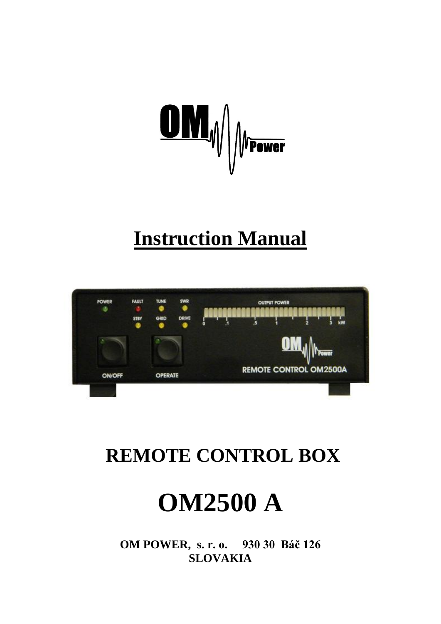

# **Instruction Manual**



## **REMOTE CONTROL BOX**



OM POWER, s. r. o. 930 30 Báč 126 **SLOVAKIA**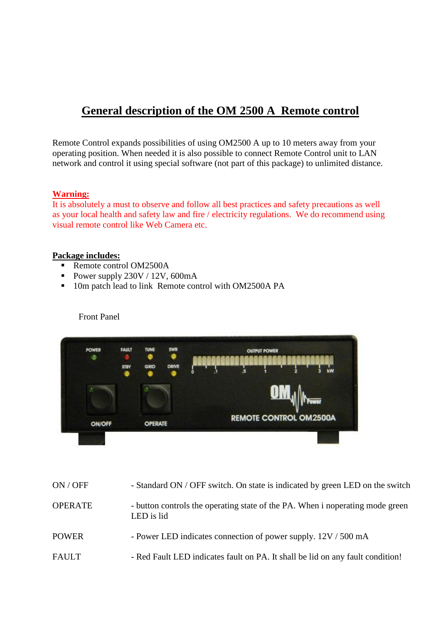### **General description of the OM 2500 A Remote control**

Remote Control expands possibilities of using OM2500 A up to 10 meters away from your operating position. When needed it is also possible to connect Remote Control unit to LAN network and control it using special software (not part of this package) to unlimited distance.

#### **Warning:**

It is absolutely a must to observe and follow all best practices and safety precautions as well as your local health and safety law and fire / electricity regulations. We do recommend using visual remote control like Web Camera etc.

#### **Package includes:**

- Remote control OM2500A
- Power supply  $230V / 12V$ , 600mA
- 10m patch lead to link Remote control with OM2500A PA



Front Panel

- ON / OFF Standard ON / OFF switch. On state is indicated by green LED on the switch
- OPERATE button controls the operating state of the PA. When i noperating mode green LED is lid
- POWER Power LED indicates connection of power supply. 12V / 500 mA
- FAULT Red Fault LED indicates fault on PA. It shall be lid on any fault condition!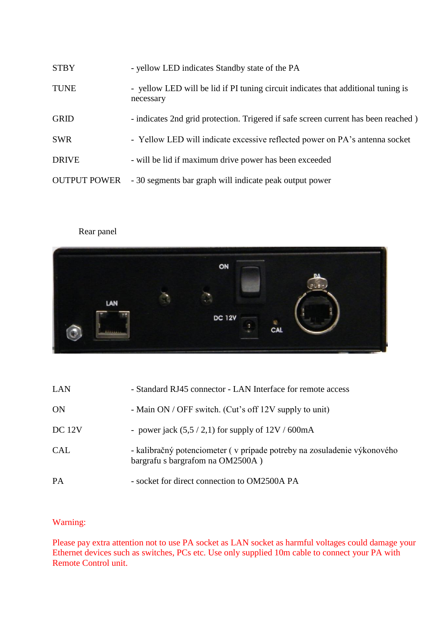| <b>STBY</b>         | - yellow LED indicates Standby state of the PA                                                 |
|---------------------|------------------------------------------------------------------------------------------------|
| <b>TUNE</b>         | - yellow LED will be lid if PI tuning circuit indicates that additional tuning is<br>necessary |
| <b>GRID</b>         | - indicates 2nd grid protection. Trigered if safe screen current has been reached)             |
| <b>SWR</b>          | - Yellow LED will indicate excessive reflected power on PA's antenna socket                    |
| <b>DRIVE</b>        | - will be lid if maximum drive power has been exceeded                                         |
| <b>OUTPUT POWER</b> | - 30 segments bar graph will indicate peak output power                                        |

#### Rear panel



| LAN        | - Standard RJ45 connector - LAN Interface for remote access                                                 |
|------------|-------------------------------------------------------------------------------------------------------------|
| ON         | - Main ON / OFF switch. (Cut's off 12V supply to unit)                                                      |
| DC 12V     | - power jack $(5.5/2,1)$ for supply of $12V/600mA$                                                          |
| <b>CAL</b> | - kalibračný potenciometer (v prípade potreby na zosuladenie výkonového<br>bargrafu s bargrafom na OM2500A) |
| <b>PA</b>  | - socket for direct connection to OM2500A PA                                                                |

#### Warning:

Please pay extra attention not to use PA socket as LAN socket as harmful voltages could damage your Ethernet devices such as switches, PCs etc. Use only supplied 10m cable to connect your PA with Remote Control unit.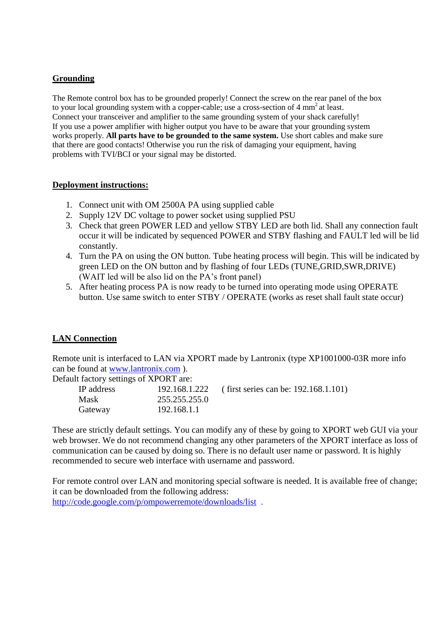#### **Grounding**

The Remote control box has to be grounded properly! Connect the screw on the rear panel of the box to your local grounding system with a copper-cable; use a cross-section of 4 mm<sup>2</sup> at least. Connect your transceiver and amplifier to the same grounding system of your shack carefully! If you use a power amplifier with higher output you have to be aware that your grounding system works properly. **All parts have to be grounded to the same system.** Use short cables and make sure that there are good contacts! Otherwise you run the risk of damaging your equipment, having problems with TVI/BCI or your signal may be distorted.

#### **Deployment instructions:**

- 1. Connect unit with OM 2500A PA using supplied cable
- 2. Supply 12V DC voltage to power socket using supplied PSU
- 3. Check that green POWER LED and yellow STBY LED are both lid. Shall any connection fault occur it will be indicated by sequenced POWER and STBY flashing and FAULT led will be lid constantly.
- 4. Turn the PA on using the ON button. Tube heating process will begin. This will be indicated by green LED on the ON button and by flashing of four LEDs (TUNE,GRID,SWR,DRIVE) (WAIT led will be also lid on the PA's front panel)
- 5. After heating process PA is now ready to be turned into operating mode using OPERATE button. Use same switch to enter STBY / OPERATE (works as reset shall fault state occur)

#### **LAN Connection**

Remote unit is interfaced to LAN via XPORT made by Lantronix (type XP1001000-03R more info can be found at [www.lantronix.com](http://www.lantronix.com/) ).

Default factory settings of XPORT are:

| IP address |               | 192.168.1.222 (first series can be: 192.168.1.101) |
|------------|---------------|----------------------------------------------------|
| Mask       | 255.255.255.0 |                                                    |
| Gateway    | 192.168.1.1   |                                                    |

These are strictly default settings. You can modify any of these by going to XPORT web GUI via your web browser. We do not recommend changing any other parameters of the XPORT interface as loss of communication can be caused by doing so. There is no default user name or password. It is highly recommended to secure web interface with username and password.

For remote control over LAN and monitoring special software is needed. It is available free of change; it can be downloaded from the following address: <http://code.google.com/p/ompowerremote/downloads/list>.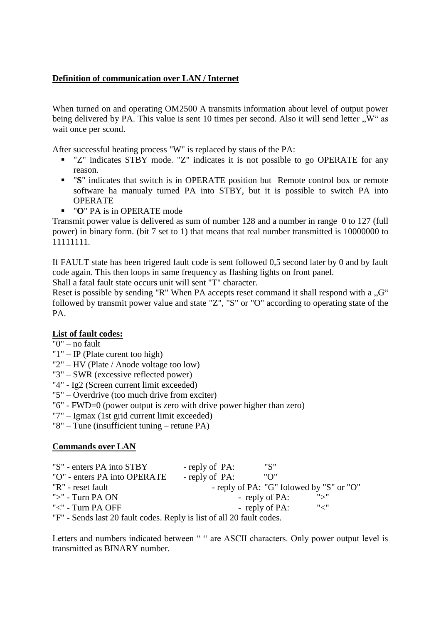#### **Definition of communication over LAN / Internet**

When turned on and operating OM2500 A transmits information about level of output power being delivered by PA. This value is sent 10 times per second. Also it will send letter  $\mathbb{R}^{W}$  as wait once per scond.

After successful heating process "W" is replaced by staus of the PA:

- " "Z" indicates STBY mode. "Z" indicates it is not possible to go OPERATE for any reason.
- "**S**" indicates that switch is in OPERATE position but Remote control box or remote software ha manualy turned PA into STBY, but it is possible to switch PA into OPERATE
- "**O**" PA is in OPERATE mode

Transmit power value is delivered as sum of number 128 and a number in range 0 to 127 (full power) in binary form. (bit 7 set to 1) that means that real number transmitted is 10000000 to 11111111.

If FAULT state has been trigered fault code is sent followed 0,5 second later by 0 and by fault code again. This then loops in same frequency as flashing lights on front panel.

Shall a fatal fault state occurs unit will sent "T" character.

Reset is possible by sending "R" When PA accepts reset command it shall respond with a  $\alpha$ " followed by transmit power value and state "Z", "S" or "O" according to operating state of the PA.

#### **List of fault codes:**

- "0" no fault
- "1" IP (Plate curent too high)
- "2" HV (Plate / Anode voltage too low)
- "3" SWR (excessive reflected power)
- "4" Ig2 (Screen current limit exceeded)
- "5" Overdrive (too much drive from exciter)
- "6" FWD=0 (power output is zero with drive power higher than zero)
- "7" Igmax (1st grid current limit exceeded)
- "8" Tune (insufficient tuning retune PA)

#### **Commands over LAN**

| "S" - enters PA into STBY                                             | - reply of PA: | "S"            |                                          |
|-----------------------------------------------------------------------|----------------|----------------|------------------------------------------|
| "O" - enters PA into OPERATE                                          | - reply of PA: | "∩"            |                                          |
| "R" - reset fault                                                     |                |                | - reply of PA: "G" folowed by "S" or "O" |
| ">" - Turn PA ON                                                      |                | - reply of PA: | "                                        |
| "<" - Turn PA OFF                                                     |                | - reply of PA: | " سر                                     |
| "F" - Sends last 20 fault codes. Reply is list of all 20 fault codes. |                |                |                                          |

Letters and numbers indicated between " " are ASCII characters. Only power output level is transmitted as BINARY number.